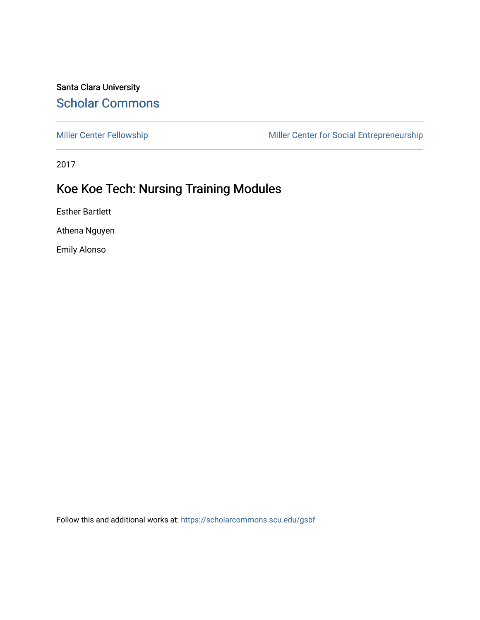## Santa Clara University [Scholar Commons](https://scholarcommons.scu.edu/)

[Miller Center Fellowship](https://scholarcommons.scu.edu/gsbf) Miller Center for Social Entrepreneurship

2017

# Koe Koe Tech: Nursing Training Modules

Esther Bartlett

Athena Nguyen

Emily Alonso

Follow this and additional works at: [https://scholarcommons.scu.edu/gsbf](https://scholarcommons.scu.edu/gsbf?utm_source=scholarcommons.scu.edu%2Fgsbf%2F97&utm_medium=PDF&utm_campaign=PDFCoverPages)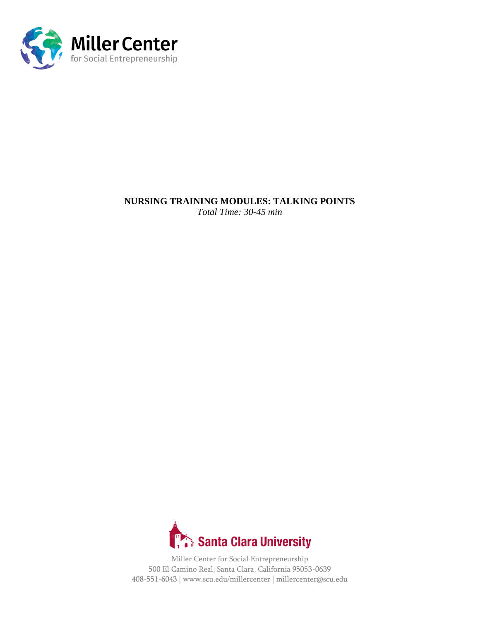

## **NURSING TRAINING MODULES: TALKING POINTS**

*Total Time: 30-45 min*

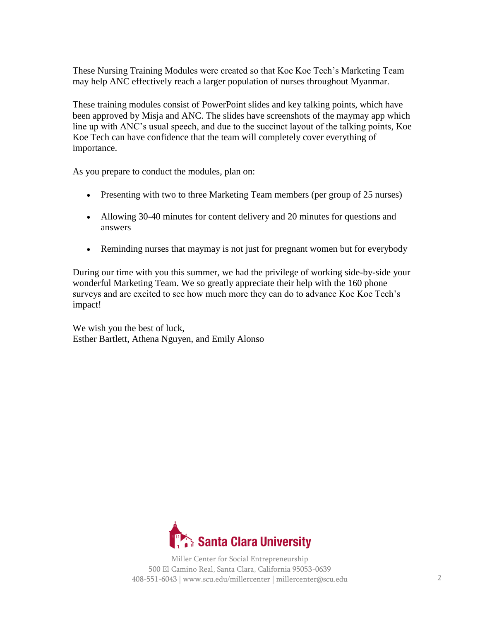These Nursing Training Modules were created so that Koe Koe Tech's Marketing Team may help ANC effectively reach a larger population of nurses throughout Myanmar.

These training modules consist of PowerPoint slides and key talking points, which have been approved by Misja and ANC. The slides have screenshots of the maymay app which line up with ANC's usual speech, and due to the succinct layout of the talking points, Koe Koe Tech can have confidence that the team will completely cover everything of importance.

As you prepare to conduct the modules, plan on:

- Presenting with two to three Marketing Team members (per group of 25 nurses)
- Allowing 30-40 minutes for content delivery and 20 minutes for questions and answers
- Reminding nurses that maymay is not just for pregnant women but for everybody

During our time with you this summer, we had the privilege of working side-by-side your wonderful Marketing Team. We so greatly appreciate their help with the 160 phone surveys and are excited to see how much more they can do to advance Koe Koe Tech's impact!

We wish you the best of luck, Esther Bartlett, Athena Nguyen, and Emily Alonso

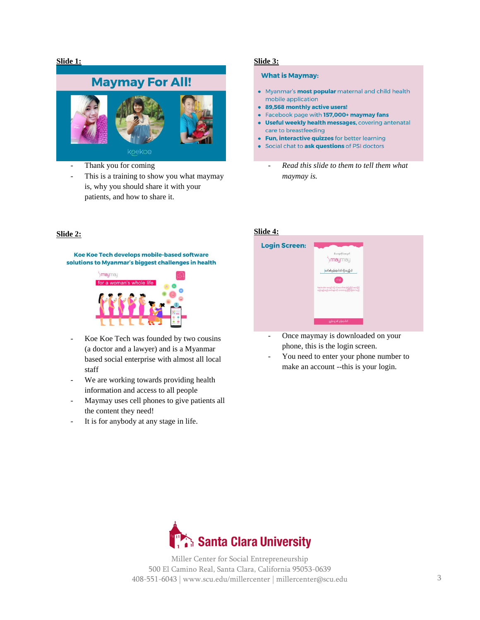#### **Slide 1:**



- Thank you for coming
- This is a training to show you what maymay is, why you should share it with your patients, and how to share it.

#### **Slide 2:**

Koe Koe Tech develops mobile-based software solutions to Myanmar's biggest challenges in health



- Koe Koe Tech was founded by two cousins (a doctor and a lawyer) and is a Myanmar based social enterprise with almost all local staff
- We are working towards providing health information and access to all people
- Maymay uses cell phones to give patients all the content they need!
- It is for anybody at any stage in life.

#### **Slide 3:**

#### **What is Maymay:**

- Myanmar's **most popular** maternal and child health mobile application
- 89,568 monthly active users!
- Facebook page with 157,000+ maymay fans
- **Useful weekly health messages, covering antenatal** care to breastfeeding
- Fun, interactive quizzes for better learning
- Social chat to ask questions of PSI doctors
	- *Read this slide to them to tell them what maymay is.*

#### **Slide 4:**



- Once maymay is downloaded on your phone, this is the login screen.
- You need to enter your phone number to make an account --this is your login.

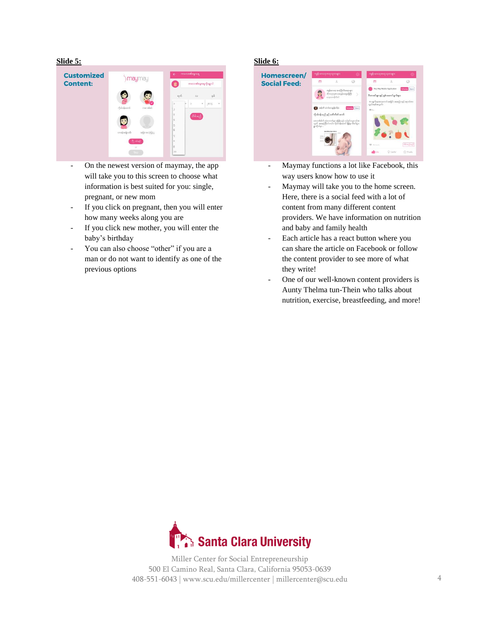#### **Slide 5:**



- On the newest version of maymay, the app will take you to this screen to choose what information is best suited for you: single, pregnant, or new mom
- If you click on pregnant, then you will enter how many weeks along you are
- If you click new mother, you will enter the baby's birthday
- You can also choose "other" if you are a man or do not want to identify as one of the previous options

#### **Slide 6:**



- Maymay functions a lot like Facebook, this way users know how to use it
- Maymay will take you to the home screen. Here, there is a social feed with a lot of content from many different content providers. We have information on nutrition and baby and family health
- Each article has a react button where you can share the article on Facebook or follow the content provider to see more of what they write!
- One of our well-known content providers is Aunty Thelma tun-Thein who talks about nutrition, exercise, breastfeeding, and more!

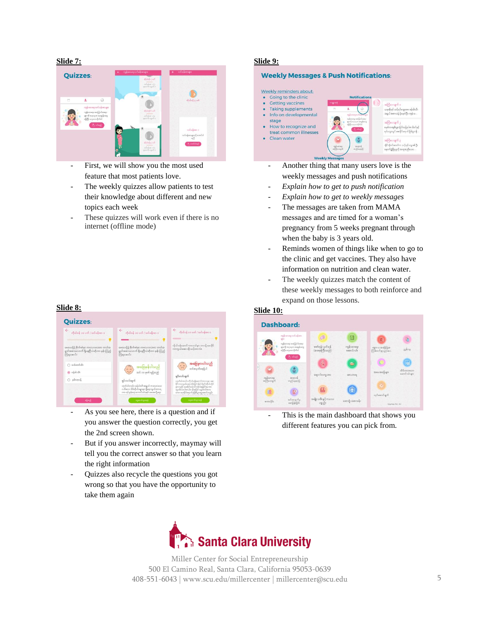**Slide 7:**



- First, we will show you the most used feature that most patients love.
- The weekly quizzes allow patients to test their knowledge about different and new topics each week
- These quizzes will work even if there is no internet (offline mode)

#### **Slide 8:**



- As you see here, there is a question and if you answer the question correctly, you get the 2nd screen shown.
- But if you answer incorrectly, maymay will tell you the correct answer so that you learn the right information
- Quizzes also recycle the questions you got wrong so that you have the opportunity to take them again

#### **Slide 9:**



- Another thing that many users love is the weekly messages and push notifications
- *Explain how to get to push notification*
- *Explain how to get to weekly messages*
- The messages are taken from MAMA messages and are timed for a woman's pregnancy from 5 weeks pregnant through when the baby is 3 years old.
- Reminds women of things like when to go to the clinic and get vaccines. They also have information on nutrition and clean water.
- The weekly quizzes match the content of these weekly messages to both reinforce and expand on those lessons.

#### **Slide 10:**



This is the main dashboard that shows you different features you can pick from.

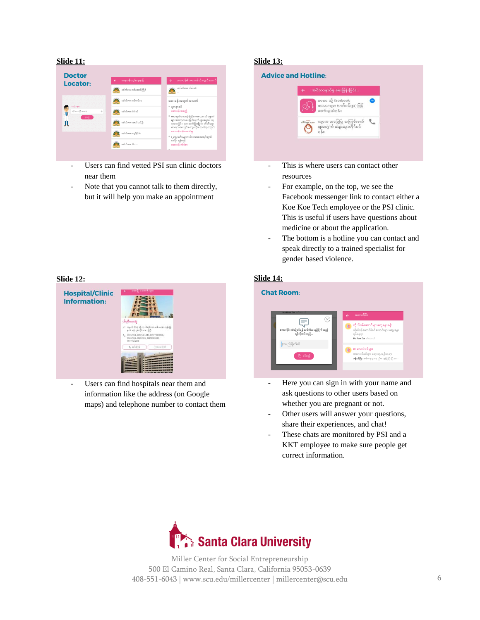#### **Slide 11:**



- Users can find vetted PSI sun clinic doctors near them
- Note that you cannot talk to them directly, but it will help you make an appointment

#### **Slide 12:**



Users can find hospitals near them and information like the address (on Google maps) and telephone number to contact them

#### **Slide 13:**

# **Advice and Hotline:** .<br>အင်တာနက်မှ မေးမြန်းခြင်း မေမေ သို့ facebook essenger (မက်စင်ဂျာ) ဖြင့် ဆက်သယ်ရန်။ ကျားမ အခြေပြု အကြမ်းဖက်<br>မှုအတွက် ဆွေးနွေးတိုင်ပင်<br>ရန်။

- This is where users can contact other resources
- For example, on the top, we see the Facebook messenger link to contact either a Koe Koe Tech employee or the PSI clinic. This is useful if users have questions about medicine or about the application.
- The bottom is a hotline you can contact and speak directly to a trained specialist for gender based violence.

#### **Slide 14:**



- Here you can sign in with your name and ask questions to other users based on whether you are pregnant or not.
- Other users will answer your questions, share their experiences, and chat!
- These chats are monitored by PSI and a KKT employee to make sure people get correct information.

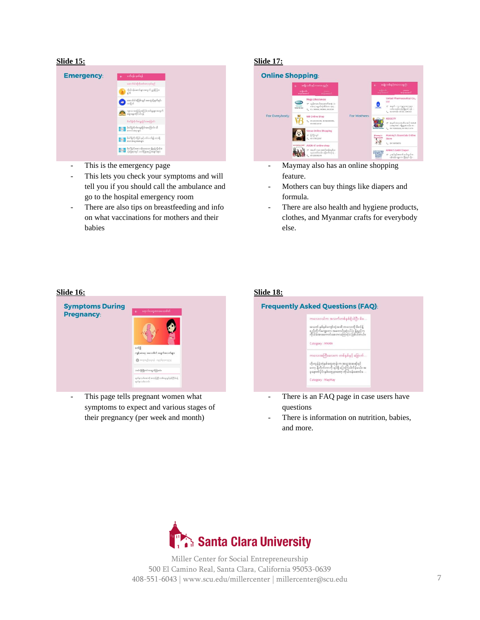#### **Slide 15:**



- This is the emergency page
- This lets you check your symptoms and will tell you if you should call the ambulance and go to the hospital emergency room
- There are also tips on breastfeeding and info on what vaccinations for mothers and their babies

#### **Slide 17:**



- Maymay also has an online shopping feature.
- Mothers can buy things like diapers and formula.
- There are also health and hygiene products, clothes, and Myanmar crafts for everybody else.

#### **Slide 16:**



This page tells pregnant women what symptoms to expect and various stages of their pregnancy (per week and month)

## **Slide 18:**



- There is an FAQ page in case users have questions
- There is information on nutrition, babies, and more.